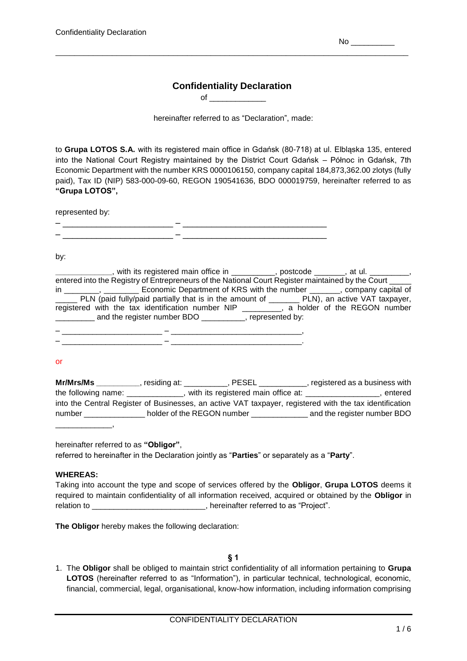$No$   $\qquad$ 

## **Confidentiality Declaration** of  $\qquad \qquad$

\_\_\_\_\_\_\_\_\_\_\_\_\_\_\_\_\_\_\_\_\_\_\_\_\_\_\_\_\_\_\_\_\_\_\_\_\_\_\_\_\_\_\_\_\_\_\_\_\_\_\_\_\_\_\_\_\_\_\_\_\_\_\_\_\_\_\_\_\_\_\_\_\_\_\_

hereinafter referred to as "Declaration", made:

to **Grupa LOTOS S.A.** with its registered main office in Gdańsk (80-718) at ul. Elbląska 135, entered into the National Court Registry maintained by the District Court Gdańsk – Północ in Gdańsk, 7th Economic Department with the number KRS 0000106150, company capital 184,873,362.00 zlotys (fully paid), Tax ID (NIP) 583-000-09-60, REGON 190541636, BDO 000019759, hereinafter referred to as **"Grupa LOTOS",**

|   | represented by: |  |
|---|-----------------|--|
| - |                 |  |
| _ |                 |  |
|   |                 |  |

by:

**\_\_\_\_\_\_\_\_\_\_\_\_\_**, with its registered main office in \_\_\_\_\_\_\_\_\_\_, postcode \_\_\_\_\_\_\_, at ul. \_\_\_\_\_\_\_\_\_, entered into the Registry of Entrepreneurs of the National Court Register maintained by the Court in \_\_\_\_\_\_\_\_, \_\_\_\_\_\_\_\_\_ Economic Department of KRS with the number \_\_\_\_\_\_, company capital of \_\_\_\_\_ PLN (paid fully/paid partially that is in the amount of \_\_\_\_\_\_\_ PLN), an active VAT taxpayer, registered with the tax identification number NIP \_\_\_\_\_\_\_\_\_, a holder of the REGON number \_\_\_\_\_\_\_\_\_ and the register number BDO \_\_\_\_\_\_\_\_\_\_, represented by:

– \_\_\_\_\_\_\_\_\_\_\_\_\_\_\_\_\_\_\_\_\_\_\_ – \_\_\_\_\_\_\_\_\_\_\_\_\_\_\_\_\_\_\_\_\_\_\_\_\_\_\_\_\_\_,  $\mathcal{L}_\text{max} = \mathcal{L}_\text{max} = \mathcal{L}_\text{max} = \mathcal{L}_\text{max} = \mathcal{L}_\text{max} = \mathcal{L}_\text{max} = \mathcal{L}_\text{max} = \mathcal{L}_\text{max} = \mathcal{L}_\text{max} = \mathcal{L}_\text{max} = \mathcal{L}_\text{max} = \mathcal{L}_\text{max} = \mathcal{L}_\text{max} = \mathcal{L}_\text{max} = \mathcal{L}_\text{max} = \mathcal{L}_\text{max} = \mathcal{L}_\text{max} = \mathcal{L}_\text{max} = \mathcal{$ 

or

| Mr/Mrs/Ms                        | residing at: _ | . PESEL                             | registered as a business with                                                                           |
|----------------------------------|----------------|-------------------------------------|---------------------------------------------------------------------------------------------------------|
| the following name: ____________ |                | with its registered main office at: | entered                                                                                                 |
|                                  |                |                                     | into the Central Register of Businesses, an active VAT taxpayer, registered with the tax identification |
| number                           |                | holder of the REGON number          | and the register number BDO                                                                             |
|                                  |                |                                     |                                                                                                         |

hereinafter referred to as **"Obligor"**,

referred to hereinafter in the Declaration jointly as "**Parties**" or separately as a "**Party**".

### **WHEREAS:**

Taking into account the type and scope of services offered by the **Obligor**, **Grupa LOTOS** deems it required to maintain confidentiality of all information received, acquired or obtained by the **Obligor** in relation to \_\_\_\_\_\_\_\_\_\_\_\_\_\_\_\_\_\_\_\_\_\_\_\_\_\_, hereinafter referred to as "Project".

**The Obligor** hereby makes the following declaration:

**§ 1**

1. The **Obligor** shall be obliged to maintain strict confidentiality of all information pertaining to **Grupa LOTOS** (hereinafter referred to as "Information"), in particular technical, technological, economic, financial, commercial, legal, organisational, know-how information, including information comprising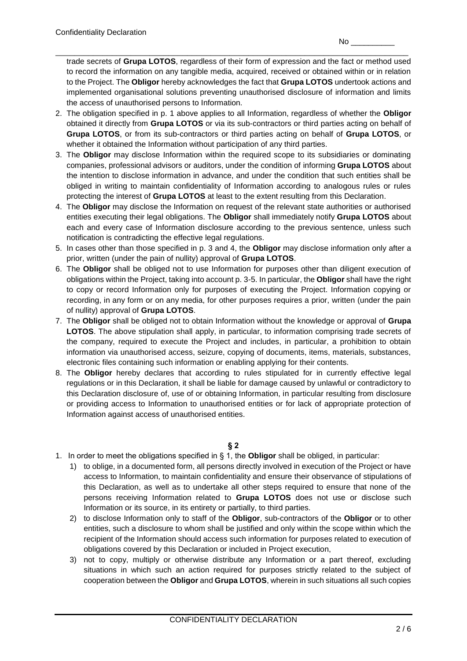\_\_\_\_\_\_\_\_\_\_\_\_\_\_\_\_\_\_\_\_\_\_\_\_\_\_\_\_\_\_\_\_\_\_\_\_\_\_\_\_\_\_\_\_\_\_\_\_\_\_\_\_\_\_\_\_\_\_\_\_\_\_\_\_\_\_\_\_\_\_\_\_\_\_\_ trade secrets of **Grupa LOTOS**, regardless of their form of expression and the fact or method used to record the information on any tangible media, acquired, received or obtained within or in relation to the Project. The **Obligor** hereby acknowledges the fact that **Grupa LOTOS** undertook actions and implemented organisational solutions preventing unauthorised disclosure of information and limits the access of unauthorised persons to Information.

- 2. The obligation specified in p. 1 above applies to all Information, regardless of whether the **Obligor**  obtained it directly from **Grupa LOTOS** or via its sub-contractors or third parties acting on behalf of **Grupa LOTOS**, or from its sub-contractors or third parties acting on behalf of **Grupa LOTOS**, or whether it obtained the Information without participation of any third parties.
- 3. The **Obligor** may disclose Information within the required scope to its subsidiaries or dominating companies, professional advisors or auditors, under the condition of informing **Grupa LOTOS** about the intention to disclose information in advance, and under the condition that such entities shall be obliged in writing to maintain confidentiality of Information according to analogous rules or rules protecting the interest of **Grupa LOTOS** at least to the extent resulting from this Declaration.
- 4. The **Obligor** may disclose the Information on request of the relevant state authorities or authorised entities executing their legal obligations. The **Obligor** shall immediately notify **Grupa LOTOS** about each and every case of Information disclosure according to the previous sentence, unless such notification is contradicting the effective legal regulations.
- 5. In cases other than those specified in p. 3 and 4, the **Obligor** may disclose information only after a prior, written (under the pain of nullity) approval of **Grupa LOTOS**.
- 6. The **Obligor** shall be obliged not to use Information for purposes other than diligent execution of obligations within the Project, taking into account p. 3-5. In particular, the **Obligor** shall have the right to copy or record Information only for purposes of executing the Project. Information copying or recording, in any form or on any media, for other purposes requires a prior, written (under the pain of nullity) approval of **Grupa LOTOS**.
- 7. The **Obligor** shall be obliged not to obtain Information without the knowledge or approval of **Grupa LOTOS**. The above stipulation shall apply, in particular, to information comprising trade secrets of the company, required to execute the Project and includes, in particular, a prohibition to obtain information via unauthorised access, seizure, copying of documents, items, materials, substances, electronic files containing such information or enabling applying for their contents.
- 8. The **Obligor** hereby declares that according to rules stipulated for in currently effective legal regulations or in this Declaration, it shall be liable for damage caused by unlawful or contradictory to this Declaration disclosure of, use of or obtaining Information, in particular resulting from disclosure or providing access to Information to unauthorised entities or for lack of appropriate protection of Information against access of unauthorised entities.

**§ 2**

- 1. In order to meet the obligations specified in § 1, the **Obligor** shall be obliged, in particular:
	- 1) to oblige, in a documented form, all persons directly involved in execution of the Project or have access to Information, to maintain confidentiality and ensure their observance of stipulations of this Declaration, as well as to undertake all other steps required to ensure that none of the persons receiving Information related to **Grupa LOTOS** does not use or disclose such Information or its source, in its entirety or partially, to third parties.
	- 2) to disclose Information only to staff of the **Obligor**, sub-contractors of the **Obligor** or to other entities, such a disclosure to whom shall be justified and only within the scope within which the recipient of the Information should access such information for purposes related to execution of obligations covered by this Declaration or included in Project execution,
	- 3) not to copy, multiply or otherwise distribute any Information or a part thereof, excluding situations in which such an action required for purposes strictly related to the subject of cooperation between the **Obligor** and **Grupa LOTOS**, wherein in such situations all such copies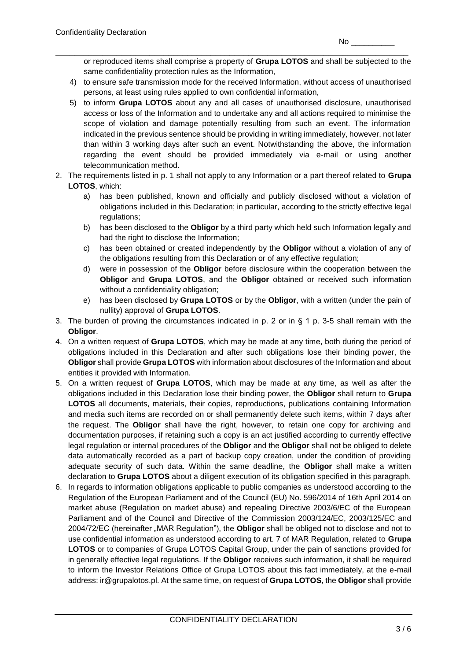\_\_\_\_\_\_\_\_\_\_\_\_\_\_\_\_\_\_\_\_\_\_\_\_\_\_\_\_\_\_\_\_\_\_\_\_\_\_\_\_\_\_\_\_\_\_\_\_\_\_\_\_\_\_\_\_\_\_\_\_\_\_\_\_\_\_\_\_\_\_\_\_\_\_\_ or reproduced items shall comprise a property of **Grupa LOTOS** and shall be subjected to the same confidentiality protection rules as the Information,

- 4) to ensure safe transmission mode for the received Information, without access of unauthorised persons, at least using rules applied to own confidential information,
- 5) to inform **Grupa LOTOS** about any and all cases of unauthorised disclosure, unauthorised access or loss of the Information and to undertake any and all actions required to minimise the scope of violation and damage potentially resulting from such an event. The information indicated in the previous sentence should be providing in writing immediately, however, not later than within 3 working days after such an event. Notwithstanding the above, the information regarding the event should be provided immediately via e-mail or using another telecommunication method.
- 2. The requirements listed in p. 1 shall not apply to any Information or a part thereof related to **Grupa LOTOS**, which:
	- a) has been published, known and officially and publicly disclosed without a violation of obligations included in this Declaration; in particular, according to the strictly effective legal regulations;
	- b) has been disclosed to the **Obligor** by a third party which held such Information legally and had the right to disclose the Information;
	- c) has been obtained or created independently by the **Obligor** without a violation of any of the obligations resulting from this Declaration or of any effective regulation;
	- d) were in possession of the **Obligor** before disclosure within the cooperation between the **Obligor** and **Grupa LOTOS**, and the **Obligor** obtained or received such information without a confidentiality obligation;
	- e) has been disclosed by **Grupa LOTOS** or by the **Obligor**, with a written (under the pain of nullity) approval of **Grupa LOTOS**.
- 3. The burden of proving the circumstances indicated in p. 2 or in § 1 p. 3-5 shall remain with the **Obligor**.
- 4. On a written request of **Grupa LOTOS**, which may be made at any time, both during the period of obligations included in this Declaration and after such obligations lose their binding power, the **Obligor** shall provide **Grupa LOTOS** with information about disclosures of the Information and about entities it provided with Information.
- 5. On a written request of **Grupa LOTOS**, which may be made at any time, as well as after the obligations included in this Declaration lose their binding power, the **Obligor** shall return to **Grupa LOTOS** all documents, materials, their copies, reproductions, publications containing Information and media such items are recorded on or shall permanently delete such items, within 7 days after the request. The **Obligor** shall have the right, however, to retain one copy for archiving and documentation purposes, if retaining such a copy is an act justified according to currently effective legal regulation or internal procedures of the **Obligor** and the **Obligor** shall not be obliged to delete data automatically recorded as a part of backup copy creation, under the condition of providing adequate security of such data. Within the same deadline, the **Obligor** shall make a written declaration to **Grupa LOTOS** about a diligent execution of its obligation specified in this paragraph.
- 6. In regards to information obligations applicable to public companies as understood according to the Regulation of the European Parliament and of the Council (EU) No. 596/2014 of 16th April 2014 on market abuse (Regulation on market abuse) and repealing Directive 2003/6/EC of the European Parliament and of the Council and Directive of the Commission 2003/124/EC, 2003/125/EC and 2004/72/EC (hereinafter "MAR Regulation"), the **Obligor** shall be obliged not to disclose and not to use confidential information as understood according to art. 7 of MAR Regulation, related to **Grupa LOTOS** or to companies of Grupa LOTOS Capital Group, under the pain of sanctions provided for in generally effective legal regulations. If the **Obligor** receives such information, it shall be required to inform the Investor Relations Office of Grupa LOTOS about this fact immediately, at the e-mail address: ir@grupalotos.pl. At the same time, on request of **Grupa LOTOS**, the **Obligor** shall provide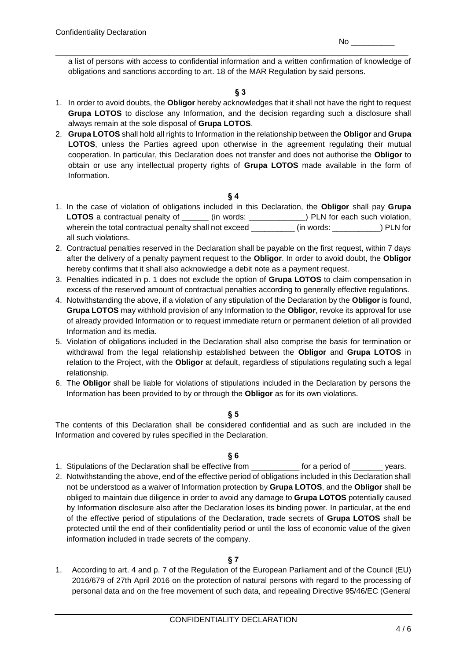a list of persons with access to confidential information and a written confirmation of knowledge of obligations and sanctions according to art. 18 of the MAR Regulation by said persons.

\_\_\_\_\_\_\_\_\_\_\_\_\_\_\_\_\_\_\_\_\_\_\_\_\_\_\_\_\_\_\_\_\_\_\_\_\_\_\_\_\_\_\_\_\_\_\_\_\_\_\_\_\_\_\_\_\_\_\_\_\_\_\_\_\_\_\_\_\_\_\_\_\_\_\_

### **§ 3**

- 1. In order to avoid doubts, the **Obligor** hereby acknowledges that it shall not have the right to request **Grupa LOTOS** to disclose any Information, and the decision regarding such a disclosure shall always remain at the sole disposal of **Grupa LOTOS**.
- 2. **Grupa LOTOS** shall hold all rights to Information in the relationship between the **Obligor** and **Grupa LOTOS**, unless the Parties agreed upon otherwise in the agreement regulating their mutual cooperation. In particular, this Declaration does not transfer and does not authorise the **Obligor** to obtain or use any intellectual property rights of **Grupa LOTOS** made available in the form of Information.

**§ 4**

- 1. In the case of violation of obligations included in this Declaration, the **Obligor** shall pay **Grupa LOTOS** a contractual penalty of \_\_\_\_\_\_ (in words: \_\_\_\_\_\_\_\_\_\_\_\_\_) PLN for each such violation, wherein the total contractual penalty shall not exceed \_\_\_\_\_\_\_\_\_ (in words: \_\_\_\_\_\_\_\_\_\_) PLN for all such violations.
- 2. Contractual penalties reserved in the Declaration shall be payable on the first request, within 7 days after the delivery of a penalty payment request to the **Obligor**. In order to avoid doubt, the **Obligor** hereby confirms that it shall also acknowledge a debit note as a payment request.
- 3. Penalties indicated in p. 1 does not exclude the option of **Grupa LOTOS** to claim compensation in excess of the reserved amount of contractual penalties according to generally effective regulations.
- 4. Notwithstanding the above, if a violation of any stipulation of the Declaration by the **Obligor** is found, **Grupa LOTOS** may withhold provision of any Information to the **Obligor**, revoke its approval for use of already provided Information or to request immediate return or permanent deletion of all provided Information and its media.
- 5. Violation of obligations included in the Declaration shall also comprise the basis for termination or withdrawal from the legal relationship established between the **Obligor** and **Grupa LOTOS** in relation to the Project, with the **Obligor** at default, regardless of stipulations regulating such a legal relationship.
- 6. The **Obligor** shall be liable for violations of stipulations included in the Declaration by persons the Information has been provided to by or through the **Obligor** as for its own violations.

### **§ 5**

The contents of this Declaration shall be considered confidential and as such are included in the Information and covered by rules specified in the Declaration.

### **§ 6**

- 1. Stipulations of the Declaration shall be effective from \_\_\_\_\_\_\_\_\_\_\_ for a period of \_\_\_\_\_\_\_ years.
- 2. Notwithstanding the above, end of the effective period of obligations included in this Declaration shall not be understood as a waiver of Information protection by **Grupa LOTOS**, and the **Obligor** shall be obliged to maintain due diligence in order to avoid any damage to **Grupa LOTOS** potentially caused by Information disclosure also after the Declaration loses its binding power. In particular, at the end of the effective period of stipulations of the Declaration, trade secrets of **Grupa LOTOS** shall be protected until the end of their confidentiality period or until the loss of economic value of the given information included in trade secrets of the company.

### **§ 7**

1. According to art. 4 and p. 7 of the Regulation of the European Parliament and of the Council (EU) 2016/679 of 27th April 2016 on the protection of natural persons with regard to the processing of personal data and on the free movement of such data, and repealing Directive 95/46/EC (General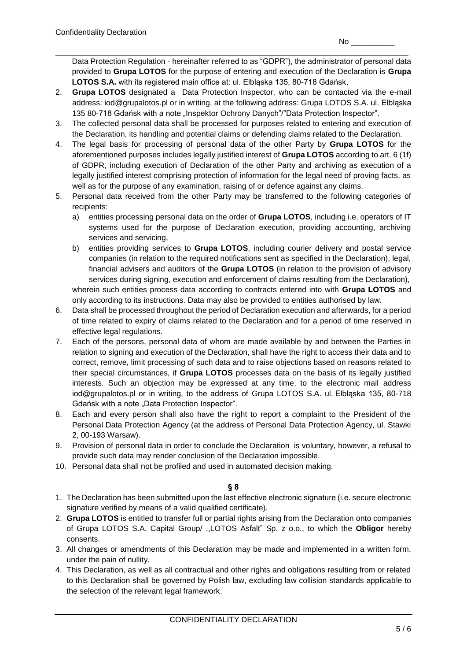Data Protection Regulation - hereinafter referred to as "GDPR"), the administrator of personal data provided to **Grupa LOTOS** for the purpose of entering and execution of the Declaration is **Grupa LOTOS S.A.** with its registered main office at: ul. Elbląska 135, 80-718 Gdańsk,

2. **Grupa LOTOS** designated a Data Protection Inspector, who can be contacted via the e-mail address: iod@grupalotos.pl or in writing, at the following address: Grupa LOTOS S.A. ul. Elbląska 135 80-718 Gdańsk with a note "Inspektor Ochrony Danych"/"Data Protection Inspector".

\_\_\_\_\_\_\_\_\_\_\_\_\_\_\_\_\_\_\_\_\_\_\_\_\_\_\_\_\_\_\_\_\_\_\_\_\_\_\_\_\_\_\_\_\_\_\_\_\_\_\_\_\_\_\_\_\_\_\_\_\_\_\_\_\_\_\_\_\_\_\_\_\_\_\_

- 3. The collected personal data shall be processed for purposes related to entering and execution of the Declaration, its handling and potential claims or defending claims related to the Declaration.
- 4. The legal basis for processing of personal data of the other Party by **Grupa LOTOS** for the aforementioned purposes includes legally justified interest of **Grupa LOTOS** according to art. 6 (1f) of GDPR, including execution of Declaration of the other Party and archiving as execution of a legally justified interest comprising protection of information for the legal need of proving facts, as well as for the purpose of any examination, raising of or defence against any claims.
- 5. Personal data received from the other Party may be transferred to the following categories of recipients:
	- a) entities processing personal data on the order of **Grupa LOTOS**, including i.e. operators of IT systems used for the purpose of Declaration execution, providing accounting, archiving services and servicing,
	- b) entities providing services to **Grupa LOTOS**, including courier delivery and postal service companies (in relation to the required notifications sent as specified in the Declaration), legal, financial advisers and auditors of the **Grupa LOTOS** (in relation to the provision of advisory services during signing, execution and enforcement of claims resulting from the Declaration), wherein such entities process data according to contracts entered into with **Grupa LOTOS** and only according to its instructions. Data may also be provided to entities authorised by law.
- 6. Data shall be processed throughout the period of Declaration execution and afterwards, for a period of time related to expiry of claims related to the Declaration and for a period of time reserved in effective legal regulations.
- 7. Each of the persons, personal data of whom are made available by and between the Parties in relation to signing and execution of the Declaration, shall have the right to access their data and to correct, remove, limit processing of such data and to raise objections based on reasons related to their special circumstances, if **Grupa LOTOS** processes data on the basis of its legally justified interests. Such an objection may be expressed at any time, to the electronic mail address iod@grupalotos.pl or in writing, to the address of Grupa LOTOS S.A. ul. Elbląska 135, 80-718 Gdańsk with a note "Data Protection Inspector".
- 8. Each and every person shall also have the right to report a complaint to the President of the Personal Data Protection Agency (at the address of Personal Data Protection Agency, ul. Stawki 2, 00-193 Warsaw).
- 9. Provision of personal data in order to conclude the Declaration is voluntary, however, a refusal to provide such data may render conclusion of the Declaration impossible.
- 10. Personal data shall not be profiled and used in automated decision making.

# **§ 8**

- 1. The Declaration has been submitted upon the last effective electronic signature (i.e. secure electronic signature verified by means of a valid qualified certificate).
- 2. **Grupa LOTOS** is entitled to transfer full or partial rights arising from the Declaration onto companies of Grupa LOTOS S.A. Capital Group/ ,,LOTOS Asfalt" Sp. z o.o., to which the **Obligor** hereby consents.
- 3. All changes or amendments of this Declaration may be made and implemented in a written form, under the pain of nullity.
- 4. This Declaration, as well as all contractual and other rights and obligations resulting from or related to this Declaration shall be governed by Polish law, excluding law collision standards applicable to the selection of the relevant legal framework.